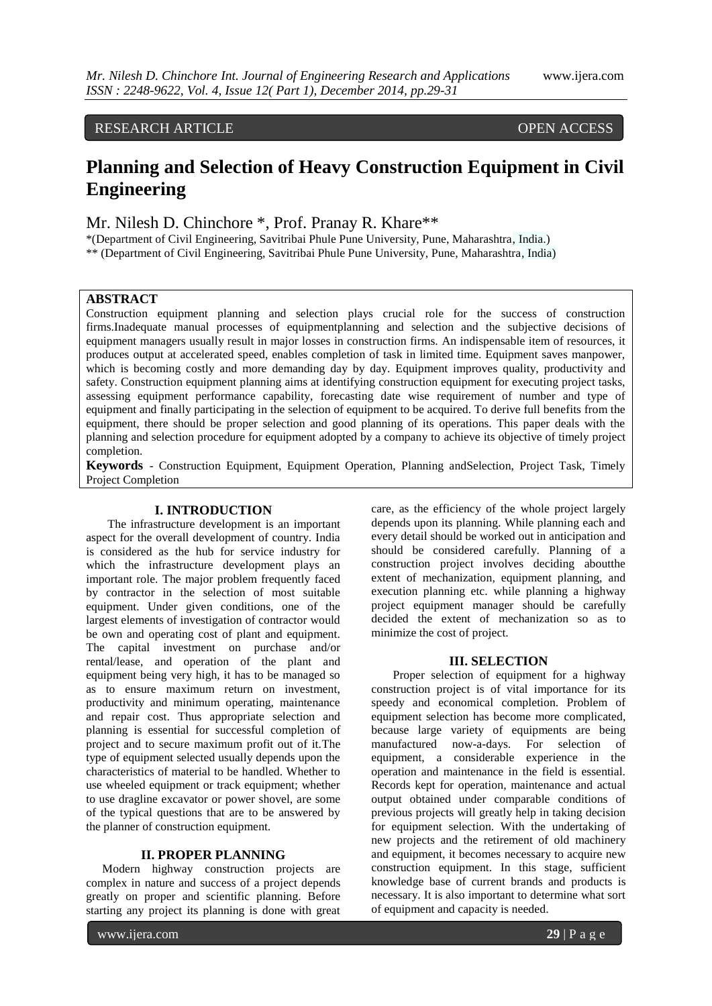# RESEARCH ARTICLE OPEN ACCESS

# **Planning and Selection of Heavy Construction Equipment in Civil Engineering**

Mr. Nilesh D. Chinchore \*, Prof. Pranay R. Khare\*\*

\*(Department of Civil Engineering, Savitribai Phule Pune University, Pune, Maharashtra, India.) \*\* (Department of Civil Engineering, Savitribai Phule Pune University, Pune, Maharashtra, India)

#### **ABSTRACT**

Construction equipment planning and selection plays crucial role for the success of construction firms.Inadequate manual processes of equipmentplanning and selection and the subjective decisions of equipment managers usually result in major losses in construction firms. An indispensable item of resources, it produces output at accelerated speed, enables completion of task in limited time. Equipment saves manpower, which is becoming costly and more demanding day by day. Equipment improves quality, productivity and safety. Construction equipment planning aims at identifying construction equipment for executing project tasks, assessing equipment performance capability, forecasting date wise requirement of number and type of equipment and finally participating in the selection of equipment to be acquired. To derive full benefits from the equipment, there should be proper selection and good planning of its operations. This paper deals with the planning and selection procedure for equipment adopted by a company to achieve its objective of timely project completion.

**Keywords** - Construction Equipment, Equipment Operation, Planning andSelection, Project Task, Timely Project Completion

#### **I. INTRODUCTION**

The infrastructure development is an important aspect for the overall development of country. India is considered as the hub for service industry for which the infrastructure development plays an important role. The major problem frequently faced by contractor in the selection of most suitable equipment. Under given conditions, one of the largest elements of investigation of contractor would be own and operating cost of plant and equipment. The capital investment on purchase and/or rental/lease, and operation of the plant and equipment being very high, it has to be managed so as to ensure maximum return on investment, productivity and minimum operating, maintenance and repair cost. Thus appropriate selection and planning is essential for successful completion of project and to secure maximum profit out of it.The type of equipment selected usually depends upon the characteristics of material to be handled. Whether to use wheeled equipment or track equipment; whether to use dragline excavator or power shovel, are some of the typical questions that are to be answered by the planner of construction equipment.

#### **II. PROPER PLANNING**

Modern highway construction projects are complex in nature and success of a project depends greatly on proper and scientific planning. Before starting any project its planning is done with great

care, as the efficiency of the whole project largely depends upon its planning. While planning each and every detail should be worked out in anticipation and should be considered carefully. Planning of a construction project involves deciding aboutthe extent of mechanization, equipment planning, and execution planning etc. while planning a highway project equipment manager should be carefully decided the extent of mechanization so as to minimize the cost of project.

#### **III. SELECTION**

Proper selection of equipment for a highway construction project is of vital importance for its speedy and economical completion. Problem of equipment selection has become more complicated, because large variety of equipments are being manufactured now-a-days. For selection of equipment, a considerable experience in the operation and maintenance in the field is essential. Records kept for operation, maintenance and actual output obtained under comparable conditions of previous projects will greatly help in taking decision for equipment selection. With the undertaking of new projects and the retirement of old machinery and equipment, it becomes necessary to acquire new construction equipment. In this stage, sufficient knowledge base of current brands and products is necessary. It is also important to determine what sort of equipment and capacity is needed.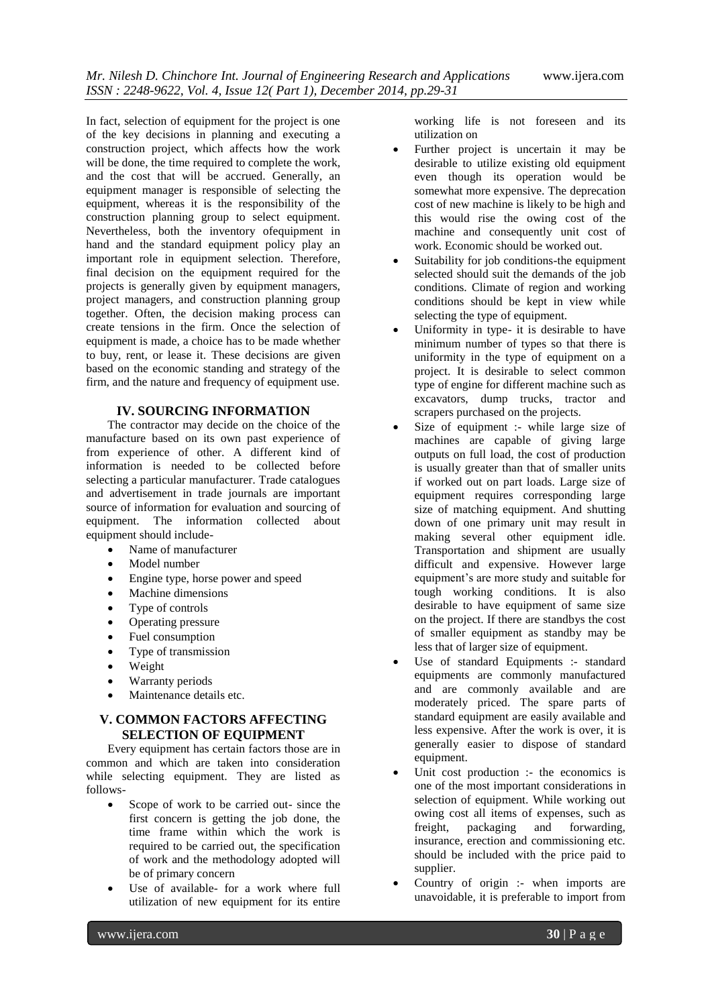In fact, selection of equipment for the project is one of the key decisions in planning and executing a construction project, which affects how the work will be done, the time required to complete the work, and the cost that will be accrued. Generally, an equipment manager is responsible of selecting the equipment, whereas it is the responsibility of the construction planning group to select equipment. Nevertheless, both the inventory ofequipment in hand and the standard equipment policy play an important role in equipment selection. Therefore, final decision on the equipment required for the projects is generally given by equipment managers, project managers, and construction planning group together. Often, the decision making process can create tensions in the firm. Once the selection of equipment is made, a choice has to be made whether to buy, rent, or lease it. These decisions are given based on the economic standing and strategy of the firm, and the nature and frequency of equipment use.

#### **IV. SOURCING INFORMATION**

The contractor may decide on the choice of the manufacture based on its own past experience of from experience of other. A different kind of information is needed to be collected before selecting a particular manufacturer. Trade catalogues and advertisement in trade journals are important source of information for evaluation and sourcing of equipment. The information collected about equipment should include-

- Name of manufacturer
- Model number
- Engine type, horse power and speed
- Machine dimensions
- Type of controls
- Operating pressure
- Fuel consumption
- Type of transmission
- Weight
- Warranty periods
- Maintenance details etc.

#### **V. COMMON FACTORS AFFECTING SELECTION OF EQUIPMENT**

Every equipment has certain factors those are in common and which are taken into consideration while selecting equipment. They are listed as follows-

- Scope of work to be carried out- since the first concern is getting the job done, the time frame within which the work is required to be carried out, the specification of work and the methodology adopted will be of primary concern
- Use of available- for a work where full utilization of new equipment for its entire

working life is not foreseen and its utilization on

- Further project is uncertain it may be desirable to utilize existing old equipment even though its operation would be somewhat more expensive. The deprecation cost of new machine is likely to be high and this would rise the owing cost of the machine and consequently unit cost of work. Economic should be worked out.
- Suitability for job conditions-the equipment selected should suit the demands of the job conditions. Climate of region and working conditions should be kept in view while selecting the type of equipment.
- Uniformity in type- it is desirable to have minimum number of types so that there is uniformity in the type of equipment on a project. It is desirable to select common type of engine for different machine such as excavators, dump trucks, tractor and scrapers purchased on the projects.
- Size of equipment :- while large size of machines are capable of giving large outputs on full load, the cost of production is usually greater than that of smaller units if worked out on part loads. Large size of equipment requires corresponding large size of matching equipment. And shutting down of one primary unit may result in making several other equipment idle. Transportation and shipment are usually difficult and expensive. However large equipment's are more study and suitable for tough working conditions. It is also desirable to have equipment of same size on the project. If there are standbys the cost of smaller equipment as standby may be less that of larger size of equipment.
- Use of standard Equipments :- standard equipments are commonly manufactured and are commonly available and are moderately priced. The spare parts of standard equipment are easily available and less expensive. After the work is over, it is generally easier to dispose of standard equipment.
- Unit cost production :- the economics is one of the most important considerations in selection of equipment. While working out owing cost all items of expenses, such as freight, packaging and forwarding, insurance, erection and commissioning etc. should be included with the price paid to supplier.
- Country of origin :- when imports are unavoidable, it is preferable to import from